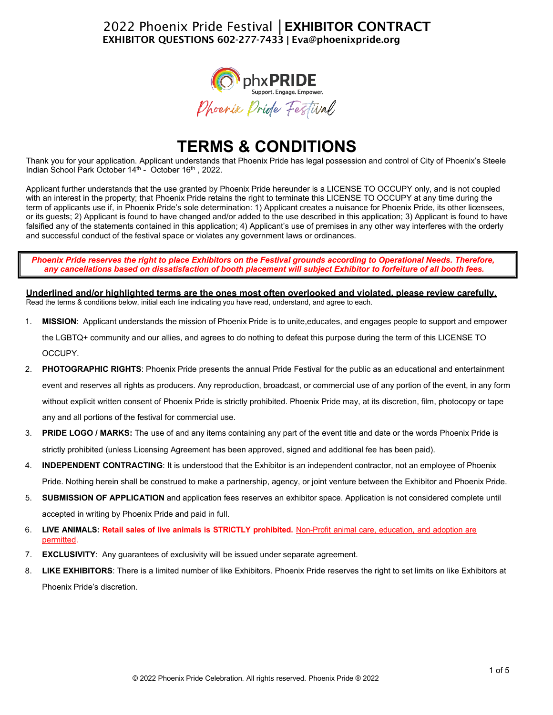## 2022 Phoenix Pride Festival **│EXHIBITOR** CONTRACT EXHIBITOR QUESTIONS 602-277-7433 **|** [Eva@phoenixpride.org](mailto:Eva@phoenixpride.org)



# **TERMS & CONDITIONS**

Thank you for your application. Applicant understands that Phoenix Pride has legal possession and control of City of Phoenix's Steele Indian School Park October 14<sup>th</sup> - October 16<sup>th</sup>, 2022.

Applicant further understands that the use granted by Phoenix Pride hereunder is a LICENSE TO OCCUPY only, and is not coupled with an interest in the property; that Phoenix Pride retains the right to terminate this LICENSE TO OCCUPY at any time during the term of applicants use if, in Phoenix Pride's sole determination: 1) Applicant creates a nuisance for Phoenix Pride, its other licensees, or its guests; 2) Applicant is found to have changed and/or added to the use described in this application; 3) Applicant is found to have falsified any of the statements contained in this application; 4) Applicant's use of premises in any other way interferes with the orderly and successful conduct of the festival space or violates any government laws or ordinances.

*Phoenix Pride reserves the right to place Exhibitors on the Festival grounds according to Operational Needs. Therefore, any cancellations based on dissatisfaction of booth placement will subject Exhibitor to forfeiture of all booth fees.*

**Underlined and/or highlighted terms are the ones most often overlooked and violated, please review carefully.** Read the terms & conditions below, initial each line indicating you have read, understand, and agree to each.

- 1. **MISSION**: Applicant understands the mission of Phoenix Pride is to unite,educates, and engages people to support and empower the LGBTQ+ community and our allies, and agrees to do nothing to defeat this purpose during the term of this LICENSE TO OCCUPY.
- 2. **PHOTOGRAPHIC RIGHTS**: Phoenix Pride presents the annual Pride Festival for the public as an educational and entertainment event and reserves all rights as producers. Any reproduction, broadcast, or commercial use of any portion of the event, in any form without explicit written consent of Phoenix Pride is strictly prohibited. Phoenix Pride may, at its discretion, film, photocopy or tape any and all portions of the festival for commercial use.
- 3. **PRIDE LOGO / MARKS:** The use of and any items containing any part of the event title and date or the words Phoenix Pride is strictly prohibited (unless Licensing Agreement has been approved, signed and additional fee has been paid).
- 4. **INDEPENDENT CONTRACTING**: It is understood that the Exhibitor is an independent contractor, not an employee of Phoenix Pride. Nothing herein shall be construed to make a partnership, agency, or joint venture between the Exhibitor and Phoenix Pride.
- 5. **SUBMISSION OF APPLICATION** and application fees reserves an exhibitor space. Application is not considered complete until accepted in writing by Phoenix Pride and paid in full.
- 6. **LIVE ANIMALS: Retail sales of live animals is STRICTLY prohibited.** Non-Profit animal care, education, and adoption are permitted.
- 7. **EXCLUSIVITY**: Any guarantees of exclusivity will be issued under separate agreement.
- 8. **LIKE EXHIBITORS**: There is a limited number of like Exhibitors. Phoenix Pride reserves the right to set limits on like Exhibitors at Phoenix Pride's discretion.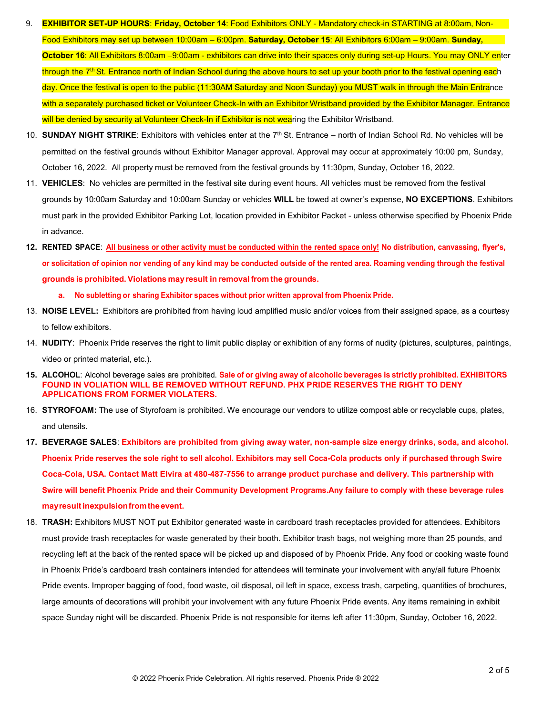- 9. **EXHIBITOR SET-UP HOURS**: **Friday, October 14**: Food Exhibitors ONLY Mandatory check-in STARTING at 8:00am, Non-Food Exhibitors may set up between 10:00am – 6:00pm. **Saturday, October 15**: All Exhibitors 6:00am – 9:00am. **Sunday, October 16**: All Exhibitors 8:00am –9:00am - exhibitors can drive into their spaces only during set-up Hours. You may ONLY enter through the 7<sup>th</sup> St. Entrance north of Indian School during the above hours to set up your booth prior to the festival opening each day. Once the festival is open to the public (11:30AM Saturday and Noon Sunday) you MUST walk in through the Main Entrance with a separately purchased ticket or Volunteer Check-In with an Exhibitor Wristband provided by the Exhibitor Manager. Entrance will be denied by security at Volunteer Check-In if Exhibitor is not wearing the Exhibitor Wristband.
- 10. **SUNDAY NIGHT STRIKE**: Exhibitors with vehicles enter at the 7th St. Entrance north of Indian School Rd. No vehicles will be permitted on the festival grounds without Exhibitor Manager approval. Approval may occur at approximately 10:00 pm, Sunday, October 16, 2022. All property must be removed from the festival grounds by 11:30pm, Sunday, October 16, 2022.
- 11. **VEHICLES**: No vehicles are permitted in the festival site during event hours. All vehicles must be removed from the festival grounds by 10:00am Saturday and 10:00am Sunday or vehicles **WILL** be towed at owner's expense, **NO EXCEPTIONS**. Exhibitors must park in the provided Exhibitor Parking Lot, location provided in Exhibitor Packet - unless otherwise specified by Phoenix Pride in advance.
- 12. RENTED SPACE: All business or other activity must be conducted within the rented space only! No distribution, canvassing, flyer's, **or solicitation of opinion nor vending of any kind may be conducted outside of the rented area. Roaming vending through the festival grounds is prohibited. Violations mayresult in removal from the grounds.**
	- **a. No subletting or sharing Exhibitor spaces without prior written approval from Phoenix Pride.**
- 13. **NOISE LEVEL:** Exhibitors are prohibited from having loud amplified music and/or voices from their assigned space, as a courtesy to fellow exhibitors.
- 14. **NUDITY**: Phoenix Pride reserves the right to limit public display or exhibition of any forms of nudity (pictures, sculptures, paintings, video or printed material, etc.).
- **15. ALCOHOL**: Alcohol beverage sales are prohibited. **Sale of or giving away of alcoholic beverages is strictly prohibited. EXHIBITORS FOUND IN VOLIATION WILL BE REMOVED WITHOUT REFUND. PHX PRIDE RESERVES THE RIGHT TO DENY APPLICATIONS FROM FORMER VIOLATERS.**
- 16. **STYROFOAM:** The use of Styrofoam is prohibited. We encourage our vendors to utilize compost able or recyclable cups, plates, and utensils.
- **17. BEVERAGE SALES**: **Exhibitors are prohibited from giving away water, non-sample size energy drinks, soda, and alcohol. Phoenix Pride reserves the sole right to sell alcohol. Exhibitors may sell Coca-Cola products only if purchased through Swire Coca-Cola, USA. Contact Matt Elvira at 480-487-7556 to arrange product purchase and delivery. This partnership with Swire will benefit Phoenix Pride and their Community Development Programs.Any failure to comply with these beverage rules mayresultinexpulsionfromtheevent.**
- 18. **TRASH:** Exhibitors MUST NOT put Exhibitor generated waste in cardboard trash receptacles provided for attendees. Exhibitors must provide trash receptacles for waste generated by their booth. Exhibitor trash bags, not weighing more than 25 pounds, and recycling left at the back of the rented space will be picked up and disposed of by Phoenix Pride. Any food or cooking waste found in Phoenix Pride's cardboard trash containers intended for attendees will terminate your involvement with any/all future Phoenix Pride events. Improper bagging of food, food waste, oil disposal, oil left in space, excess trash, carpeting, quantities of brochures, large amounts of decorations will prohibit your involvement with any future Phoenix Pride events. Any items remaining in exhibit space Sunday night will be discarded. Phoenix Pride is not responsible for items left after 11:30pm, Sunday, October 16, 2022.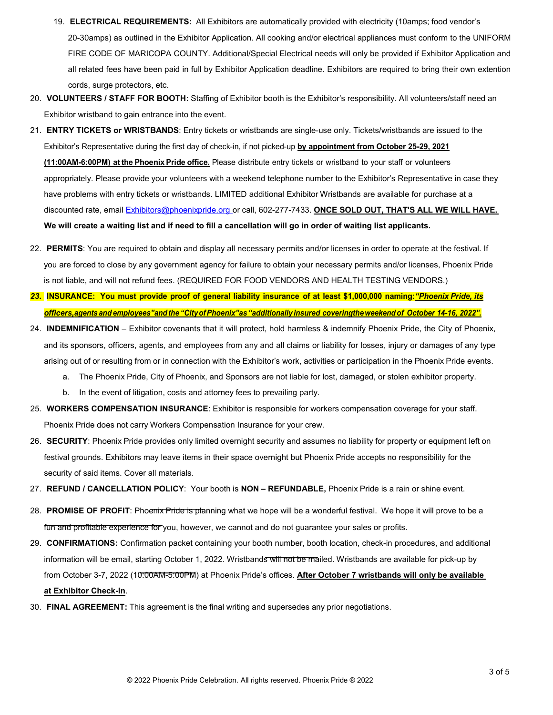- 19. **ELECTRICAL REQUIREMENTS:** All Exhibitors are automatically provided with electricity (10amps; food vendor's 20-30amps) as outlined in the Exhibitor Application. All cooking and/or electrical appliances must conform to the UNIFORM FIRE CODE OF MARICOPA COUNTY. Additional/Special Electrical needs will only be provided if Exhibitor Application and all related fees have been paid in full by Exhibitor Application deadline. Exhibitors are required to bring their own extention cords, surge protectors, etc.
- 20. **VOLUNTEERS / STAFF FOR BOOTH:** Staffing of Exhibitor booth is the Exhibitor's responsibility. All volunteers/staff need an Exhibitor wristband to gain entrance into the event.
- 21. **ENTRY TICKETS or WRISTBANDS**: Entry tickets or wristbands are single-use only. Tickets/wristbands are issued to the Exhibitor's Representative during the first day of check-in, if not picked-up **by appointment from October 25-29, 2021 (11:00AM-6:00PM) at the Phoenix Pride office.** Please distribute entry tickets or wristband to your staff or volunteers appropriately. Please provide your volunteers with a weekend telephone number to the Exhibitor's Representative in case they have problems with entry tickets or wristbands. LIMITED additional Exhibitor Wristbands are available for purchase at a discounted rate, email [Exhibitors@phoenixpride.org](mailto:Exhibitors@phoenixpride.org) or call, 602-277-7433. **ONCE SOLD OUT, THAT'S ALL WE WILL HAVE. We will create a waiting list and if need to fill a cancellation will go in order of waiting list applicants.**
- 22. **PERMITS**: You are required to obtain and display all necessary permits and/or licenses in order to operate at the festival. If you are forced to close by any government agency for failure to obtain your necessary permits and/or licenses, Phoenix Pride is not liable, and will not refund fees. (REQUIRED FOR FOOD VENDORS AND HEALTH TESTING VENDORS.)
- *23.* **INSURANCE: You must provide proof of general liability insurance of at least \$1,000,000 naming:***"Phoenix Pride, its officers, agents and employees"andthe "CityofPhoenix"as "additionally insured coveringtheweekendof October 14-16, 2022".*
- 24. **INDEMNIFICATION**  Exhibitor covenants that it will protect, hold harmless & indemnify Phoenix Pride, the City of Phoenix, and its sponsors, officers, agents, and employees from any and all claims or liability for losses, injury or damages of any type arising out of or resulting from or in connection with the Exhibitor's work, activities or participation in the Phoenix Pride events.
	- a. The Phoenix Pride, City of Phoenix, and Sponsors are not liable for lost, damaged, or stolen exhibitor property.
	- b. In the event of litigation, costs and attorney fees to prevailing party.
- 25. **WORKERS COMPENSATION INSURANCE**: Exhibitor is responsible for workers compensation coverage for your staff. Phoenix Pride does not carry Workers Compensation Insurance for your crew.
- 26. **SECURITY**: Phoenix Pride provides only limited overnight security and assumes no liability for property or equipment left on festival grounds. Exhibitors may leave items in their space overnight but Phoenix Pride accepts no responsibility for the security of said items. Cover all materials.
- 27. **REFUND / CANCELLATION POLICY**: Your booth is **NON REFUNDABLE,** Phoenix Pride is a rain or shine event.
- 28. **PROMISE OF PROFIT**: Phoenix Pride is planning what we hope will be a wonderful festival. We hope it will prove to be a fun and profitable experience for you, however, we cannot and do not guarantee your sales or profits.
- 29. **CONFIRMATIONS:** Confirmation packet containing your booth number, booth location, check-in procedures, and additional information will be email, starting October 1, 2022. Wristbands will not be mailed. Wristbands are available for pick-up by from October 3-7, 2022 (10:00AM-5:00PM) at Phoenix Pride's offices. **After October 7 wristbands will only be available at Exhibitor Check-In**.
- 30. **FINAL AGREEMENT:** This agreement is the final writing and supersedes any prior negotiations.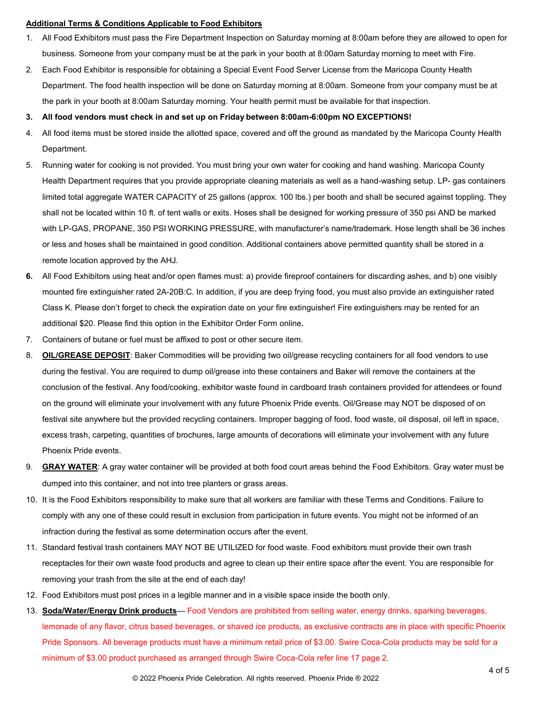#### **Additional Terms & Conditions Applicable to Food Exhibitors**

- 1. All Food Exhibitors must pass the Fire Department Inspection on Saturday morning at 8:00am before they are allowed to open for business. Someone from your company must be at the park in your booth at 8:00am Saturday morning to meet with Fire.
- 2. Each Food Exhibitor is responsible for obtaining a Special Event Food Server License from the Maricopa County Health Department. The food health inspection will be done on Saturday morning at 8:00am. Someone from your company must be at the park in your booth at 8:00am Saturday morning. Your health permit must be available for that inspection.

#### **3. All food vendors must check in and set up on Friday between 8:00am-6:00pm NO EXCEPTIONS!**

- 4. All food items must be stored inside the allotted space, covered and off the ground as mandated by the Maricopa County Health Department.
- 5. Running water for cooking is not provided. You must bring your own water for cooking and hand washing. Maricopa County Health Department requires that you provide appropriate cleaning materials as well as a hand-washing setup. LP- gas containers limited total aggregate WATER CAPACITY of 25 gallons (approx. 100 lbs.) per booth and shall be secured against toppling. They shall not be located within 10 ft. of tent walls or exits. Hoses shall be designed for working pressure of 350 psi AND be marked with LP-GAS, PROPANE, 350 PSI WORKING PRESSURE, with manufacturer's name/trademark. Hose length shall be 36 inches or less and hoses shall be maintained in good condition. Additional containers above permitted quantity shall be stored in a remote location approved by the AHJ.
- **6.** All Food Exhibitors using heat and/or open flames must: a) provide fireproof containers for discarding ashes, and b) one visibly mounted fire extinguisher rated 2A-20B:C. In addition, if you are deep frying food, you must also provide an extinguisher rated Class K. Please don't forget to check the expiration date on your fire extinguisher! Fire extinguishers may be rented for an additional \$20. Please find this option in the Exhibitor Order Form online**.**
- 7. Containers of butane or fuel must be affixed to post or other secure item.
- 8. **OIL/GREASE DEPOSIT**: Baker Commodities will be providing two oil/grease recycling containers for all food vendors to use during the festival. You are required to dump oil/grease into these containers and Baker will remove the containers at the conclusion of the festival. Any food/cooking, exhibitor waste found in cardboard trash containers provided for attendees or found on the ground will eliminate your involvement with any future Phoenix Pride events. Oil/Grease may NOT be disposed of on festival site anywhere but the provided recycling containers. Improper bagging of food, food waste, oil disposal, oil left in space, excess trash, carpeting, quantities of brochures, large amounts of decorations will eliminate your involvement with any future Phoenix Pride events.
- 9. **GRAY WATER**: A gray water container will be provided at both food court areas behind the Food Exhibitors. Gray water must be dumped into this container, and not into tree planters or grass areas.
- 10. It is the Food Exhibitors responsibility to make sure that all workers are familiar with these Terms and Conditions. Failure to comply with any one of these could result in exclusion from participation in future events. You might not be informed of an infraction during the festival as some determination occurs after the event.
- 11. Standard festival trash containers MAY NOT BE UTILIZED for food waste. Food exhibitors must provide their own trash receptacles for their own waste food products and agree to clean up their entire space after the event. You are responsible for removing your trash from the site at the end of each day!
- 12. Food Exhibitors must post prices in a legible manner and in a visible space inside the booth only.
- 13. **Soda/Water/Energy Drink products** Food Vendors are prohibited from selling water, energy drinks, sparking beverages, lemonade of any flavor, citrus based beverages, or shaved ice products, as exclusive contracts are in place with specific Phoenix Pride Sponsors. All beverage products must have a minimum retail price of \$3.00. Swire Coca-Cola products may be sold for a minimum of \$3.00 product purchased as arranged through Swire Coca-Cola refer line 17 page 2.